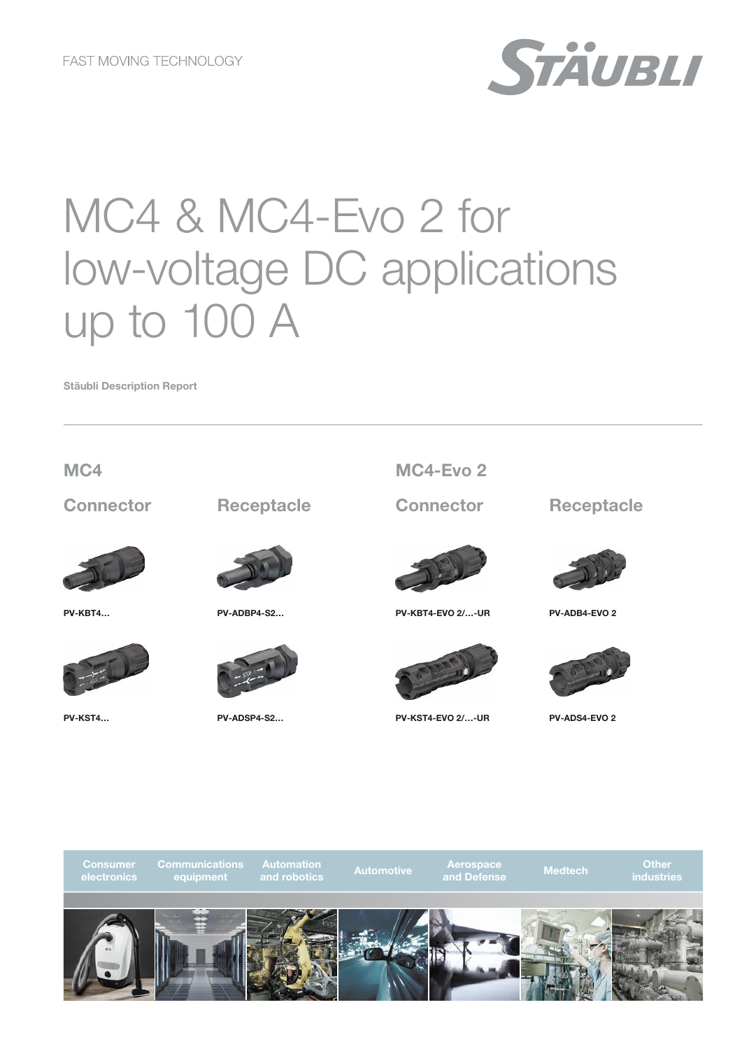

# MC4 & MC4-Evo 2 for low-voltage DC applications up to 100 A

Stäubli Description Report



PV-KBT4…



Consumer

PV-KST4…



PV-ADBP4-S2…



PV-ADSP4-S2…

Automation

**Communications** 

MC4 MC4-Evo 2

Connector Receptacle Connector Receptacle



PV-KBT4-EVO 2/…-UR



PV-KST4-EVO 2/…-UR



PV-ADB4-EVO 2



PV-ADS4-EVO 2

**Other** 

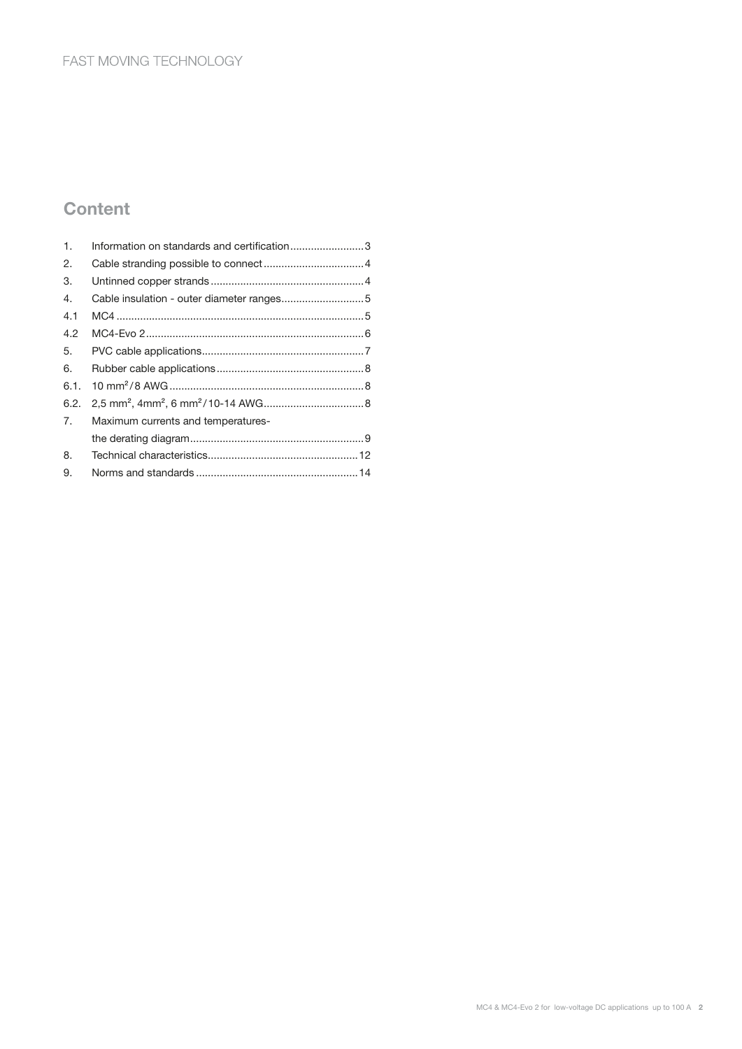# **Content**

| $\mathbf{1}$ . | Information on standards and certification3 |  |
|----------------|---------------------------------------------|--|
| 2.             |                                             |  |
| З.             |                                             |  |
| 4.             |                                             |  |
| 4.1            |                                             |  |
| 4.2            |                                             |  |
| 5.             |                                             |  |
| 6.             |                                             |  |
| 6.1.           |                                             |  |
| 6.2.           |                                             |  |
| 7.             | Maximum currents and temperatures-          |  |
|                |                                             |  |
| 8.             |                                             |  |
| 9.             |                                             |  |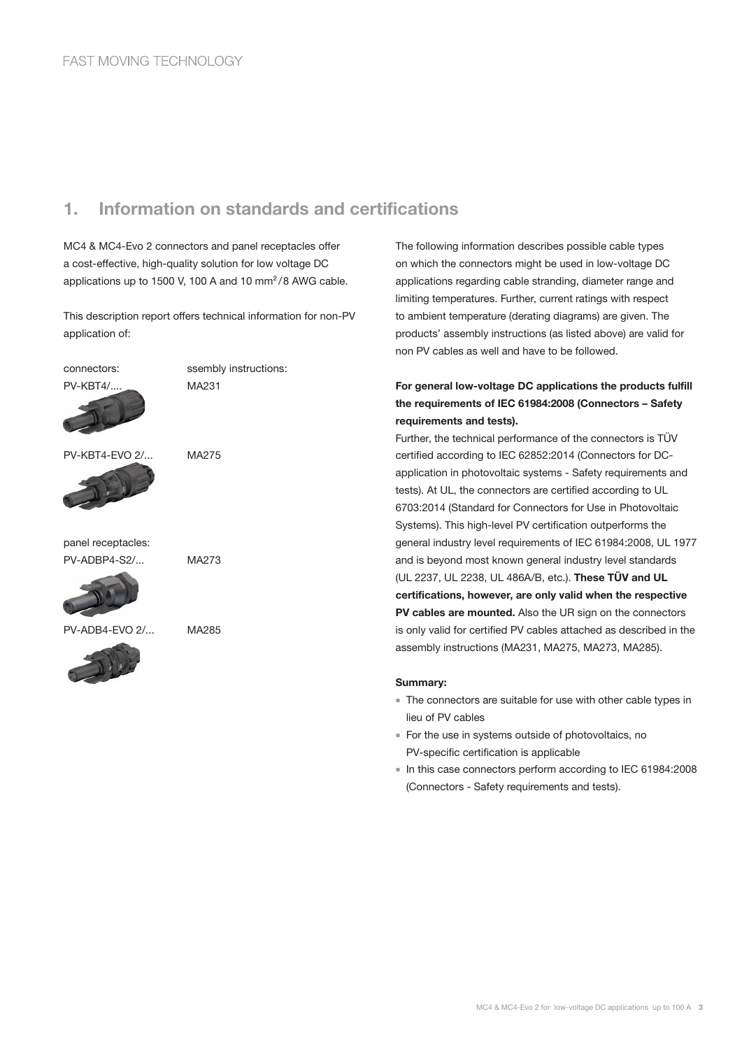# <span id="page-2-0"></span>1. Information on standards and certifications

MC4 & MC4-Evo 2 connectors and panel receptacles offer a cost-effective, high-quality solution for low voltage DC applications up to 1500 V, 100 A and 10 mm²/8 AWG cable.

This description report offers technical information for non-PV application of:



PV-ADB4-EVO 2/... MA285



The following information describes possible cable types on which the connectors might be used in low-voltage DC applications regarding cable stranding, diameter range and limiting temperatures. Further, current ratings with respect to ambient temperature (derating diagrams) are given. The products' assembly instructions (as listed above) are valid for non PV cables as well and have to be followed.

## For general low-voltage DC applications the products fulfill the requirements of IEC 61984:2008 (Connectors – Safety requirements and tests).

Further, the technical performance of the connectors is TÜV certified according to IEC 62852:2014 (Connectors for DCapplication in photovoltaic systems - Safety requirements and tests). At UL, the connectors are certified according to UL 6703:2014 (Standard for Connectors for Use in Photovoltaic Systems). This high-level PV certification outperforms the general industry level requirements of IEC 61984:2008, UL 1977 and is beyond most known general industry level standards (UL 2237, UL 2238, UL 486A/B, etc.). These TÜV and UL certifications, however, are only valid when the respective PV cables are mounted. Also the UR sign on the connectors is only valid for certified PV cables attached as described in the assembly instructions (MA231, MA275, MA273, MA285).

#### Summary:

- The connectors are suitable for use with other cable types in lieu of PV cables
- For the use in systems outside of photovoltaics, no PV-specific certification is applicable
- In this case connectors perform according to IEC 61984:2008 (Connectors - Safety requirements and tests).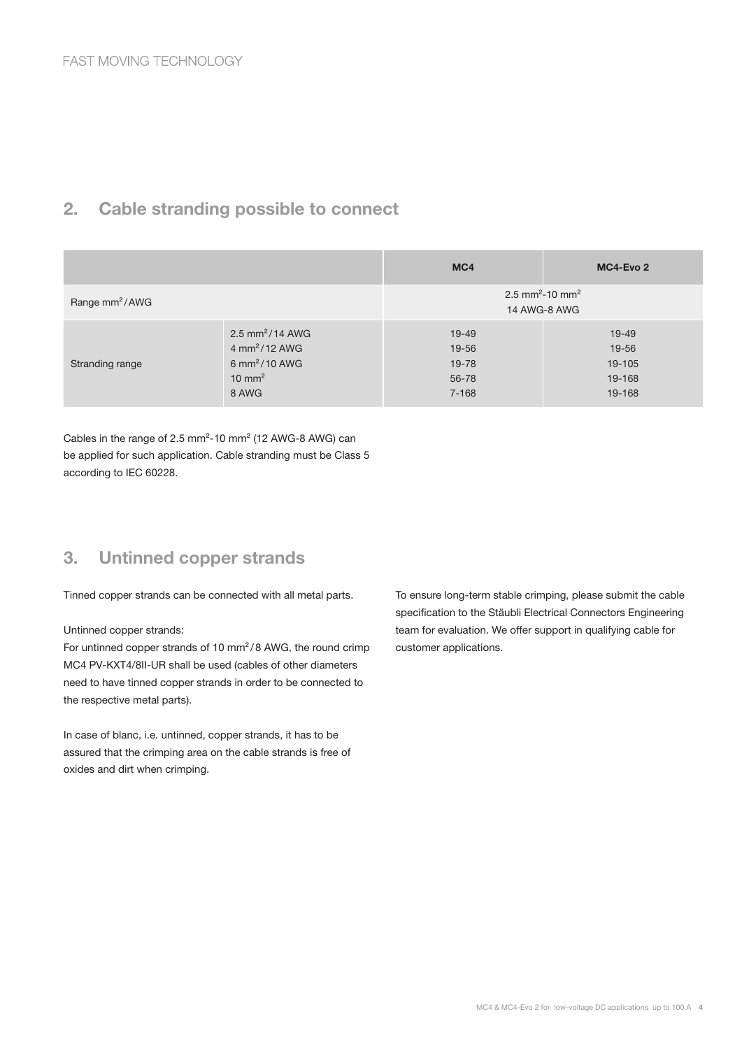## <span id="page-3-0"></span>2. Cable stranding possible to connect

|                            |                                                                                                                         | MC <sub>4</sub>                             | MC4-Evo 2                                    |
|----------------------------|-------------------------------------------------------------------------------------------------------------------------|---------------------------------------------|----------------------------------------------|
| Range mm <sup>2</sup> /AWG |                                                                                                                         | 2.5 mm <sup>2</sup> -10 mm <sup>2</sup>     | 14 AWG-8 AWG                                 |
| Stranding range            | 2.5 mm <sup>2</sup> /14 AWG<br>$4 \text{ mm}^2/12$ AWG<br>$6 \text{ mm}^2/10 \text{ AWG}$<br>$10 \text{ mm}^2$<br>8 AWG | $19-49$<br>19-56<br>19-78<br>56-78<br>7-168 | 19-49<br>19-56<br>19-105<br>19-168<br>19-168 |

Cables in the range of 2.5 mm²-10 mm² (12 AWG-8 AWG) can be applied for such application. Cable stranding must be Class 5 according to IEC 60228.

## <span id="page-3-1"></span>3. Untinned copper strands

Tinned copper strands can be connected with all metal parts.

Untinned copper strands:

For untinned copper strands of 10 mm<sup>2</sup>/8 AWG, the round crimp MC4 PV-KXT4/8II-UR shall be used (cables of other diameters need to have tinned copper strands in order to be connected to the respective metal parts).

In case of blanc, i.e. untinned, copper strands, it has to be assured that the crimping area on the cable strands is free of oxides and dirt when crimping.

To ensure long-term stable crimping, please submit the cable specification to the Stäubli Electrical Connectors Engineering team for evaluation. We offer support in qualifying cable for customer applications.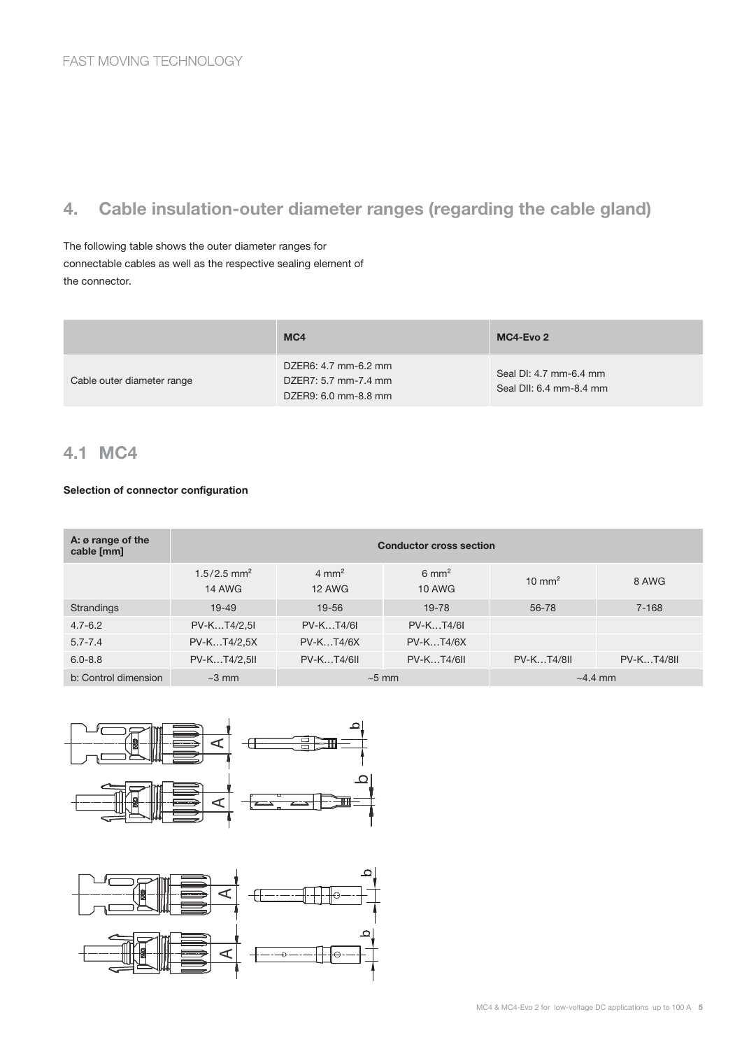# <span id="page-4-0"></span>4. Cable insulation-outer diameter ranges (regarding the cable gland)

The following table shows the outer diameter ranges for connectable cables as well as the respective sealing element of the connector.

|                            | MC <sub>4</sub>                                                      | $MC4$ -Evo 2                                      |
|----------------------------|----------------------------------------------------------------------|---------------------------------------------------|
| Cable outer diameter range | DZER6: 4.7 mm-6.2 mm<br>DZER7: 5.7 mm-7.4 mm<br>DZER9: 6.0 mm-8.8 mm | Seal DI: 4.7 mm-6.4 mm<br>Seal DII: 6.4 mm-8.4 mm |

## <span id="page-4-1"></span>4.1 MC4

#### Selection of connector configuration

| A: ø range of the<br>cable [mm] | <b>Conductor cross section</b>             |                                   |                                   |                   |                   |
|---------------------------------|--------------------------------------------|-----------------------------------|-----------------------------------|-------------------|-------------------|
|                                 | $1.5/2.5$ mm <sup>2</sup><br><b>14 AWG</b> | $4 \text{ mm}^2$<br><b>12 AWG</b> | $6 \text{ mm}^2$<br><b>10 AWG</b> | $10 \text{ mm}^2$ | 8 AWG             |
| Strandings                      | $19 - 49$                                  | 19-56                             | 19-78                             | 56-78             | $7 - 168$         |
| $4.7 - 6.2$                     | PV-KT4/2,5I                                | PV-KT4/6I                         | PV-KT4/6I                         |                   |                   |
| $5.7 - 7.4$                     | PV-KT4/2,5X                                | PV-KT4/6X                         | PV-KT4/6X                         |                   |                   |
| $6.0 - 8.8$                     | PV-KT4/2,5II                               | <b>PV-KT4/6II</b>                 | <b>PV-KT4/6II</b>                 | <b>PV-KT4/8II</b> | <b>PV-KT4/8II</b> |
| b: Control dimension            | $\sim$ 3 mm                                | $\sim$ 5 mm                       |                                   | $~1.4$ mm         |                   |



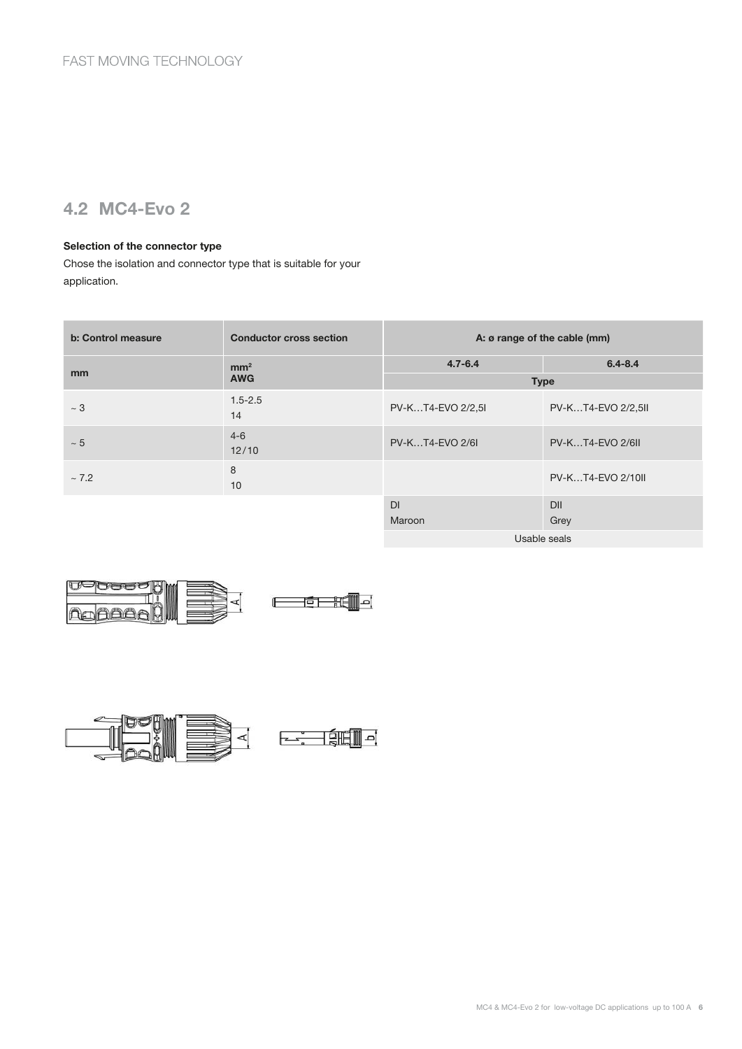# <span id="page-5-0"></span>4.2 MC4-Evo 2

#### Selection of the connector type

Chose the isolation and connector type that is suitable for your application.

| b: Control measure | <b>Conductor cross section</b> | A: ø range of the cable (mm) |                         |
|--------------------|--------------------------------|------------------------------|-------------------------|
| mm                 | mm <sup>2</sup><br><b>AWG</b>  | $4.7 - 6.4$                  | $6.4 - 8.4$             |
|                    |                                | <b>Type</b>                  |                         |
| $\sim$ 3           | $1.5 - 2.5$<br>14              | PV-KT4-EVO 2/2,5I            | PV-KT4-EVO 2/2,5II      |
| $~\sim 5$          | $4 - 6$<br>12/10               | PV-KT4-EVO 2/6I              | <b>PV-KT4-EVO 2/6II</b> |
| ~1.2               | 8<br>10                        |                              | PV-KT4-EVO 2/10II       |
|                    |                                | DI                           | <b>DII</b>              |

Maroon







Grey

Usable seals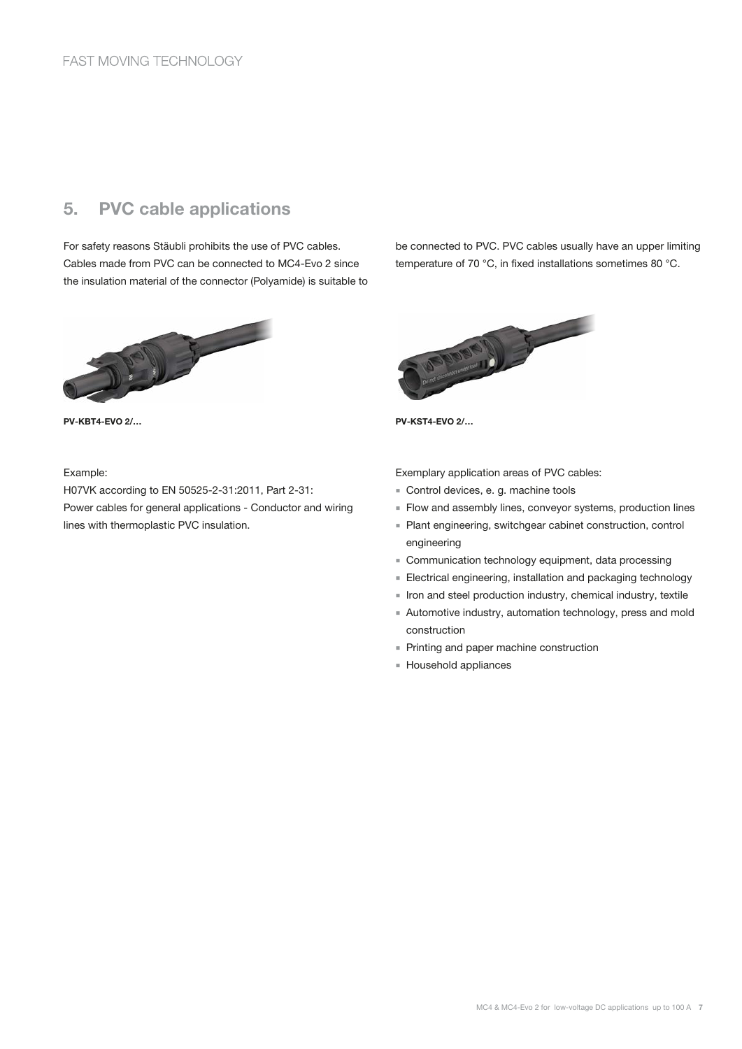## FAST MOVING TECHNOLOGY

## <span id="page-6-0"></span>5. PVC cable applications

For safety reasons Stäubli prohibits the use of PVC cables. Cables made from PVC can be connected to MC4-Evo 2 since the insulation material of the connector (Polyamide) is suitable to



PV-KBT4-EVO 2/… PV-KST4-EVO 2/…

#### Example:

H07VK according to EN 50525-2-31:2011, Part 2-31: Power cables for general applications - Conductor and wiring lines with thermoplastic PVC insulation.

be connected to PVC. PVC cables usually have an upper limiting temperature of 70 °C, in fixed installations sometimes 80 °C.



Exemplary application areas of PVC cables:

- Control devices, e. g. machine tools
- Flow and assembly lines, conveyor systems, production lines
- Plant engineering, switchgear cabinet construction, control engineering
- Communication technology equipment, data processing
- Electrical engineering, installation and packaging technology
- Iron and steel production industry, chemical industry, textile
- Automotive industry, automation technology, press and mold construction
- Printing and paper machine construction
- Household appliances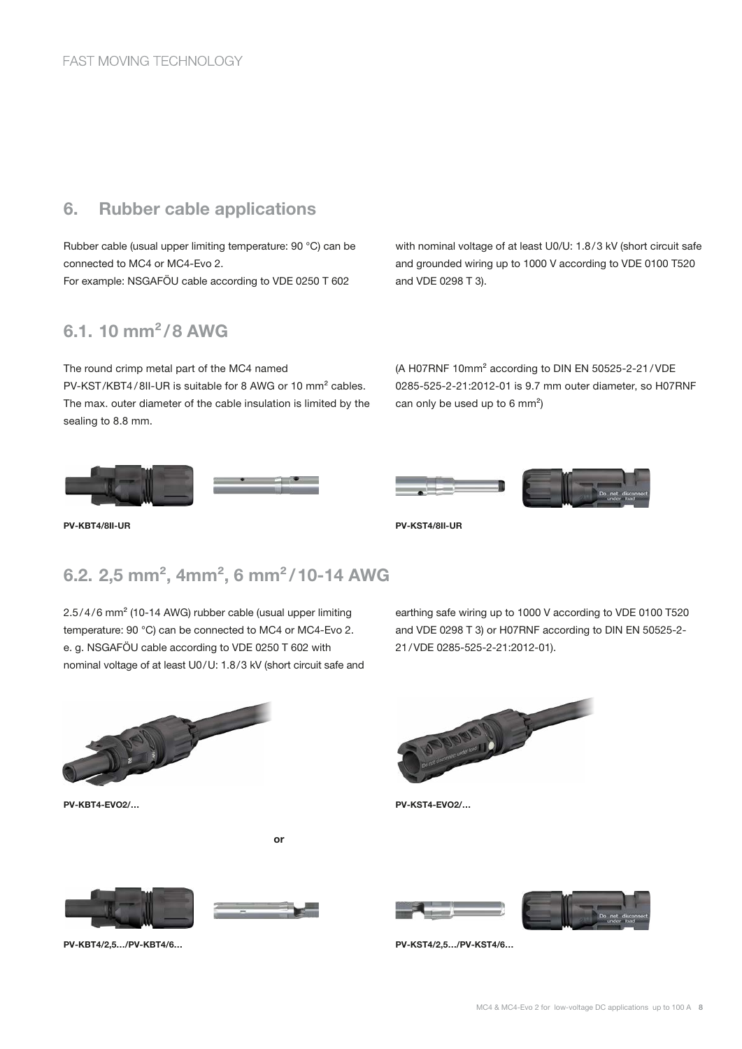## <span id="page-7-0"></span>6. Rubber cable applications

Rubber cable (usual upper limiting temperature: 90 °C) can be connected to MC4 or MC4-Evo 2. For example: NSGAFÖU cable according to VDE 0250 T 602

# <span id="page-7-1"></span>6.1. 10 mm²/8 AWG

The round crimp metal part of the MC4 named PV-KST /KBT4 / 8II-UR is suitable for 8 AWG or 10 mm² cables. The max. outer diameter of the cable insulation is limited by the sealing to 8.8 mm.

with nominal voltage of at least U0/U: 1.8/3 kV (short circuit safe and grounded wiring up to 1000 V according to VDE 0100 T520 and VDE 0298 T 3).

(A H07RNF 10mm² according to DIN EN 50525-2-21 /VDE 0285-525-2-21:2012-01 is 9.7 mm outer diameter, so H07RNF can only be used up to 6 mm²)



PV-KBT4/8II-UR

PV-KST4/8II-UR

# <span id="page-7-2"></span>6.2. 2,5 mm², 4mm², 6 mm²/10-14 AWG

2.5/4/6 mm² (10-14 AWG) rubber cable (usual upper limiting temperature: 90 °C) can be connected to MC4 or MC4-Evo 2. e. g. NSGAFÖU cable according to VDE 0250 T 602 with nominal voltage of at least U0/U: 1.8/3 kV (short circuit safe and earthing safe wiring up to 1000 V according to VDE 0100 T520 and VDE 0298 T 3) or H07RNF according to DIN EN 50525-2- 21/VDE 0285-525-2-21:2012-01).



PV-KBT4/2,5…/PV-KBT4/6… PV-KST4/2,5…/PV-KST4/6…





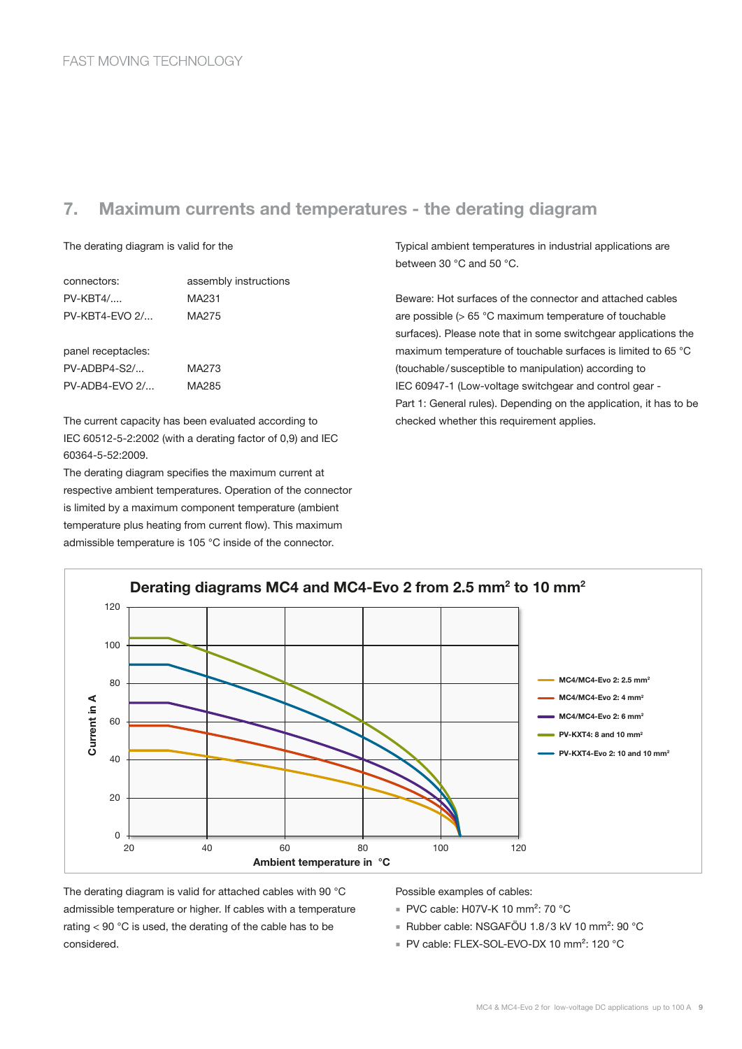## <span id="page-8-0"></span>7. Maximum currents and temperatures - the derating diagram

#### The derating diagram is valid for the

| connectors:        | assembly instructions |
|--------------------|-----------------------|
| <b>PV-KBT4/</b>    | MA231                 |
| PV-KBT4-EVO 2/     | MA275                 |
|                    |                       |
| panel receptacles: |                       |
| $PV$ -ADBP4-S2 $/$ | MA273                 |
| PV-ADB4-EVO 2/     | MA285                 |

The current capacity has been evaluated according to IEC 60512-5-2:2002 (with a derating factor of 0,9) and IEC 60364-5-52:2009.

The derating diagram specifies the maximum current at respective ambient temperatures. Operation of the connector is limited by a maximum component temperature (ambient temperature plus heating from current flow). This maximum admissible temperature is 105 °C inside of the connector.

Typical ambient temperatures in industrial applications are between 30 °C and 50 °C.

Beware: Hot surfaces of the connector and attached cables are possible (> 65 °C maximum temperature of touchable surfaces). Please note that in some switchgear applications the maximum temperature of touchable surfaces is limited to 65 °C (touchable/susceptible to manipulation) according to IEC 60947-1 (Low-voltage switchgear and control gear - Part 1: General rules). Depending on the application, it has to be checked whether this requirement applies.



The derating diagram is valid for attached cables with 90 °C admissible temperature or higher. If cables with a temperature rating < 90 °C is used, the derating of the cable has to be considered.

Possible examples of cables:

- PVC cable: H07V-K 10 mm²: 70 °C
- Rubber cable: NSGAFÖU 1.8/3 kV 10 mm<sup>2</sup>: 90 °C
- PV cable: FLEX-SOL-EVO-DX 10 mm<sup>2</sup>: 120 °C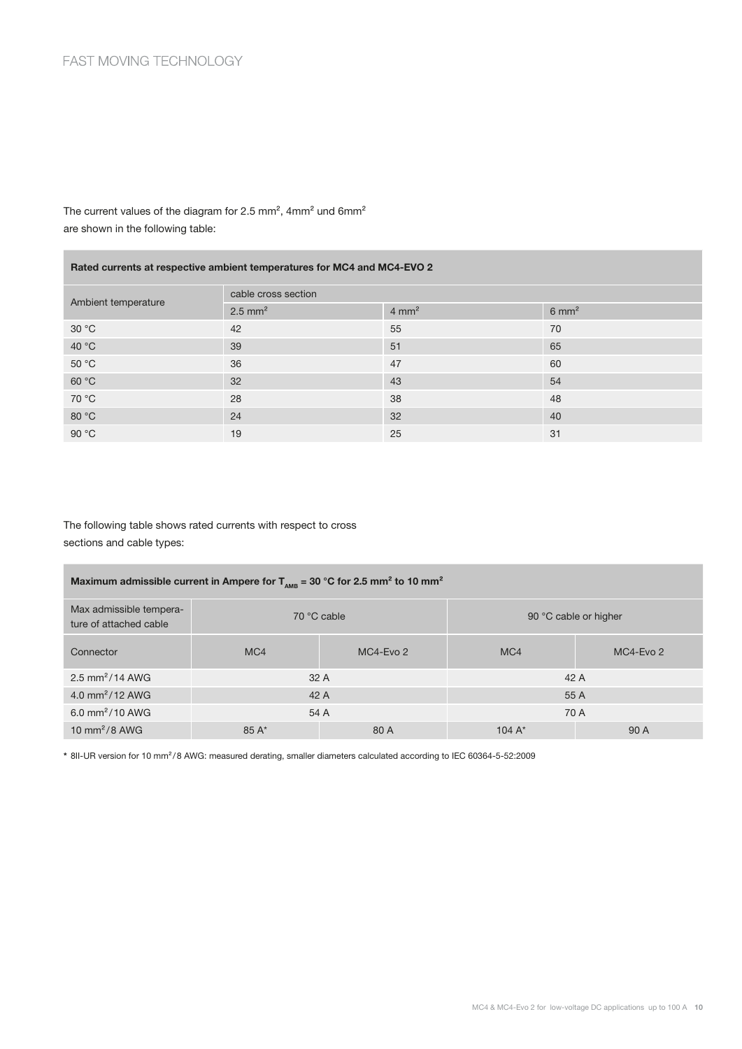## The current values of the diagram for 2.5 mm<sup>2</sup>, 4mm<sup>2</sup> und 6mm<sup>2</sup> are shown in the following table:

## Rated currents at respective ambient temperatures for MC4 and MC4-EVO 2

|                     | cable cross section   |                  |                  |  |
|---------------------|-----------------------|------------------|------------------|--|
| Ambient temperature | $2.5$ mm <sup>2</sup> | $4 \text{ mm}^2$ | $6 \text{ mm}^2$ |  |
| 30 °C               | 42                    | 55               | 70               |  |
| 40 °C               | 39                    | 51               | 65               |  |
| 50 °C               | 36                    | 47               | 60               |  |
| 60 °C               | 32                    | 43               | 54               |  |
| 70 °C               | 28                    | 38               | 48               |  |
| 80 °C               | 24                    | 32               | 40               |  |
| 90 °C               | 19                    | 25               | 31               |  |

## The following table shows rated currents with respect to cross sections and cable types:

| Maximum admissible current in Ampere for $T_{\text{AMB}}$ = 30 °C for 2.5 mm <sup>2</sup> to 10 mm <sup>2</sup> |        |             |                 |                       |  |
|-----------------------------------------------------------------------------------------------------------------|--------|-------------|-----------------|-----------------------|--|
| Max admissible tempera-<br>ture of attached cable                                                               |        | 70 °C cable |                 | 90 °C cable or higher |  |
| Connector                                                                                                       | MC4    | MC4-Evo 2   | MC <sub>4</sub> | MC4-Evo 2             |  |
| $2.5 \text{ mm}^2 / 14 \text{ AWG}$                                                                             |        | 32A         |                 | 42 A                  |  |
| 4.0 mm <sup>2</sup> /12 AWG                                                                                     | 42 A   |             | 55 A            |                       |  |
| 6.0 mm <sup>2</sup> /10 AWG                                                                                     | 54 A   |             |                 | 70 A                  |  |
| $10 \text{ mm}^2/8$ AWG                                                                                         | $85A*$ | 80 A        | 104 $A^*$       | 90 A                  |  |

\* 8II-UR version for 10 mm²/8 AWG: measured derating, smaller diameters calculated according to IEC 60364-5-52:2009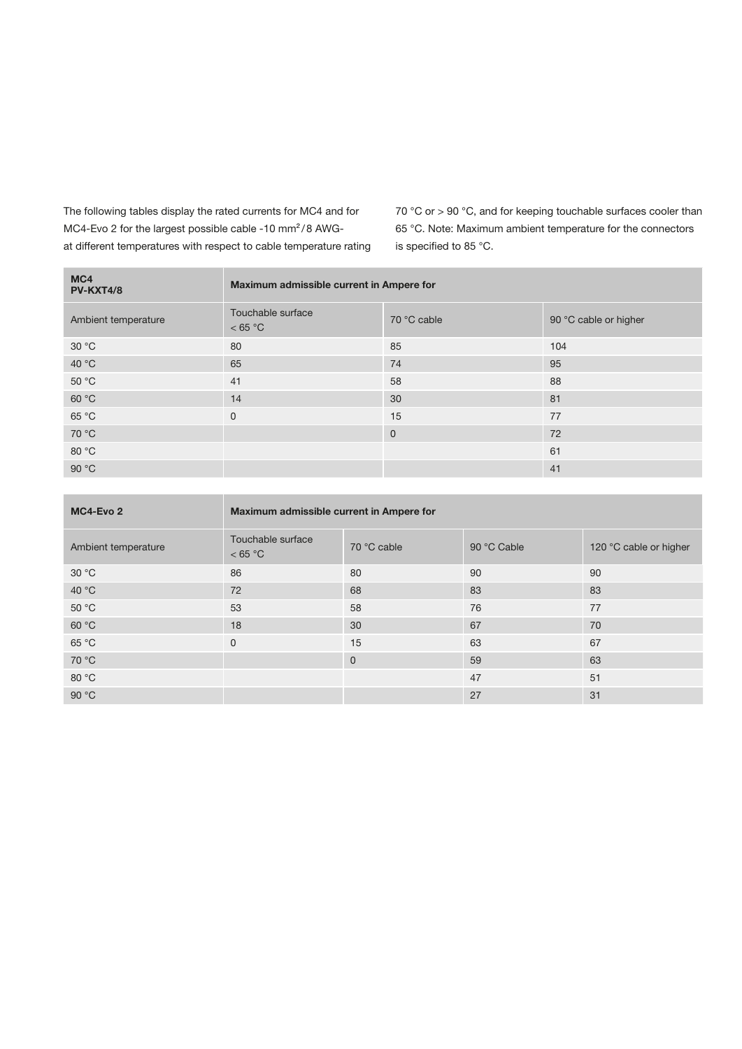The following tables display the rated currents for MC4 and for MC4-Evo 2 for the largest possible cable -10 mm²/8 AWGat different temperatures with respect to cable temperature rating

70 °C or > 90 °C, and for keeping touchable surfaces cooler than 65 °C. Note: Maximum ambient temperature for the connectors is specified to 85 °C.

| MC4<br><b>PV-KXT4/8</b> | Maximum admissible current in Ampere for |                |                       |
|-------------------------|------------------------------------------|----------------|-----------------------|
| Ambient temperature     | Touchable surface<br>< 65 °C             | 70 °C cable    | 90 °C cable or higher |
| 30 °C                   | 80                                       | 85             | 104                   |
| 40 °C                   | 65                                       | 74             | 95                    |
| 50 °C                   | 41                                       | 58             | 88                    |
| 60 °C                   | 14                                       | 30             | 81                    |
| 65 °C                   | $\Omega$                                 | 15             | 77                    |
| 70 °C                   |                                          | $\overline{0}$ | 72                    |
| 80 °C                   |                                          |                | 61                    |
| 90 °C                   |                                          |                | 41                    |

| MC4-Evo 2           | Maximum admissible current in Ampere for |             |             |                        |
|---------------------|------------------------------------------|-------------|-------------|------------------------|
| Ambient temperature | Touchable surface<br>< 65 °C             | 70 °C cable | 90 °C Cable | 120 °C cable or higher |
| 30 °C               | 86                                       | 80          | 90          | 90                     |
| 40 °C               | 72                                       | 68          | 83          | 83                     |
| 50 °C               | 53                                       | 58          | 76          | 77                     |
| 60 °C               | 18                                       | 30          | 67          | 70                     |
| 65 °C               | $\mathbf 0$                              | 15          | 63          | 67                     |
| 70 °C               |                                          | $\Omega$    | 59          | 63                     |
| 80 °C               |                                          |             | 47          | 51                     |
| 90 °C               |                                          |             | 27          | 31                     |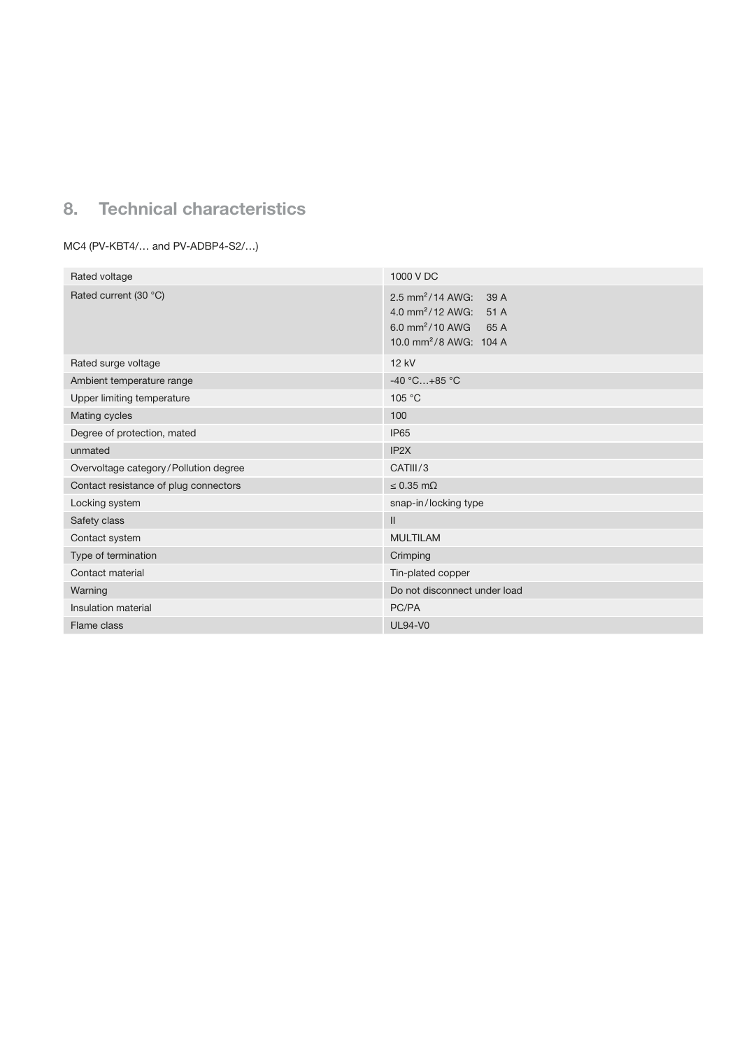# <span id="page-11-0"></span>8. Technical characteristics

## MC4 (PV-KBT4/… and PV-ADBP4-S2/…)

| Rated voltage                         | 1000 V DC                                                                                                                                                             |
|---------------------------------------|-----------------------------------------------------------------------------------------------------------------------------------------------------------------------|
| Rated current (30 °C)                 | $2.5 \text{ mm}^2 / 14 \text{ AWG}$ : 39 A<br>$4.0 \text{ mm}^2/12$ AWG:<br>51 A<br>$6.0 \text{ mm}^2 / 10 \text{ AWG}$<br>65 A<br>10.0 mm <sup>2</sup> /8 AWG: 104 A |
| Rated surge voltage                   | <b>12 kV</b>                                                                                                                                                          |
| Ambient temperature range             | $-40 °C+85 °C$                                                                                                                                                        |
| Upper limiting temperature            | 105 °C                                                                                                                                                                |
| Mating cycles                         | 100                                                                                                                                                                   |
| Degree of protection, mated           | <b>IP65</b>                                                                                                                                                           |
| unmated                               | IP <sub>2X</sub>                                                                                                                                                      |
| Overvoltage category/Pollution degree | CATIII/3                                                                                                                                                              |
| Contact resistance of plug connectors | $\leq$ 0.35 m $\Omega$                                                                                                                                                |
| Locking system                        | snap-in/locking type                                                                                                                                                  |
| Safety class                          | $\mathbf{II}$                                                                                                                                                         |
| Contact system                        | <b>MULTILAM</b>                                                                                                                                                       |
| Type of termination                   | Crimping                                                                                                                                                              |
| Contact material                      | Tin-plated copper                                                                                                                                                     |
| Warning                               | Do not disconnect under load                                                                                                                                          |
| Insulation material                   | PC/PA                                                                                                                                                                 |
| Flame class                           | <b>UL94-V0</b>                                                                                                                                                        |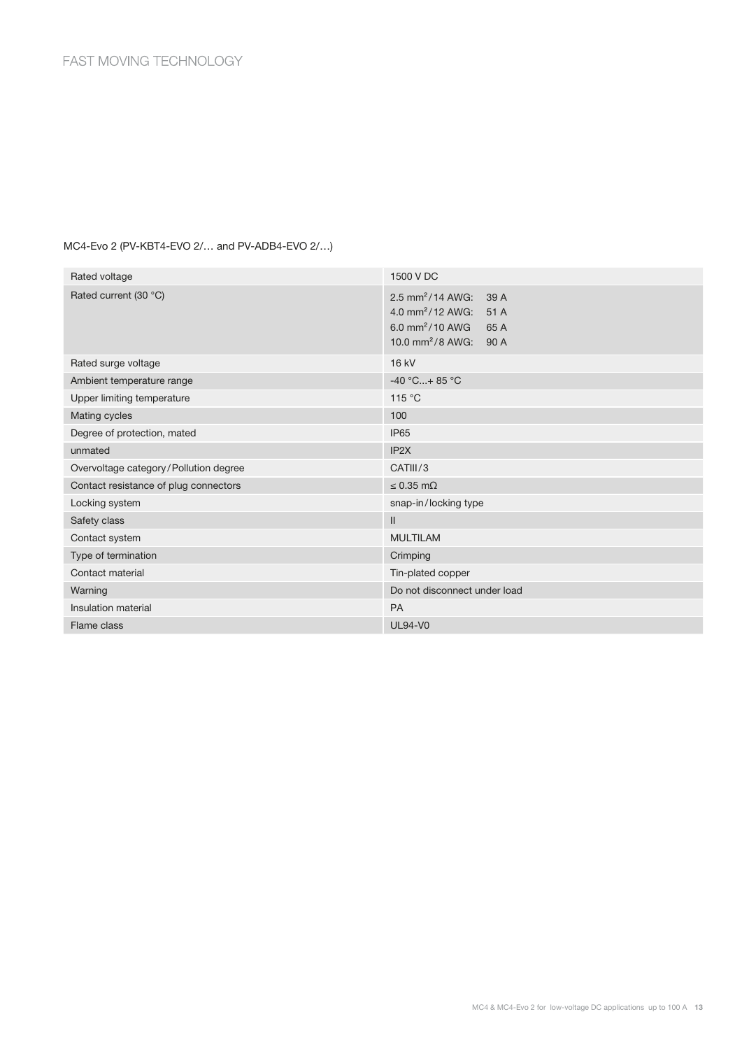### MC4-Evo 2 (PV-KBT4-EVO 2/… and PV-ADB4-EVO 2/…)

| Rated voltage                         | 1500 V DC                                                                                                                                                |
|---------------------------------------|----------------------------------------------------------------------------------------------------------------------------------------------------------|
| Rated current (30 °C)                 | 2.5 mm <sup>2</sup> /14 AWG:<br>39 A<br>4.0 mm <sup>2</sup> /12 AWG:<br>51 A<br>6.0 mm <sup>2</sup> /10 AWG<br>65 A<br>10.0 mm <sup>2</sup> /8 AWG: 90 A |
| Rated surge voltage                   | 16 kV                                                                                                                                                    |
| Ambient temperature range             | -40 °C+ 85 °C                                                                                                                                            |
| Upper limiting temperature            | 115 °C                                                                                                                                                   |
| Mating cycles                         | 100                                                                                                                                                      |
| Degree of protection, mated           | <b>IP65</b>                                                                                                                                              |
| unmated                               | IP <sub>2X</sub>                                                                                                                                         |
| Overvoltage category/Pollution degree | CATIII/3                                                                                                                                                 |
| Contact resistance of plug connectors | $\leq 0.35$ m $\Omega$                                                                                                                                   |
| Locking system                        | snap-in/locking type                                                                                                                                     |
| Safety class                          | $\mathbf{II}$                                                                                                                                            |
| Contact system                        | <b>MULTILAM</b>                                                                                                                                          |
| Type of termination                   | Crimping                                                                                                                                                 |
| Contact material                      | Tin-plated copper                                                                                                                                        |
| Warning                               | Do not disconnect under load                                                                                                                             |
| Insulation material                   | PA                                                                                                                                                       |
| Flame class                           | <b>UL94-V0</b>                                                                                                                                           |